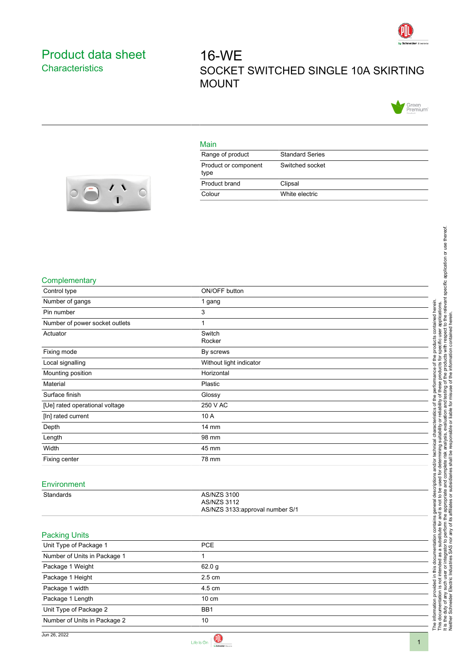

## <span id="page-0-0"></span>Product data sheet **Characteristics**

# 16-WE SOCKET SWITCHED SINGLE 10A SKIRTING MOUNT



#### Main

| Range of product             | <b>Standard Series</b> |
|------------------------------|------------------------|
| Product or component<br>type | Switched socket        |
| Product brand                | Clipsal                |
| Colour                       | White electric         |



#### **Complementary**

| ON/OFF button<br>1 gang<br>herein.<br>3<br>contained<br>1<br>Switch<br>Rocker<br>Fixing mode<br>By screws<br>Without light indicator<br>Horizontal<br>Plastic<br>Glossy<br>250 V AC<br>৳<br>10 A<br>erist<br>14 mm<br>৳<br>98 mm<br>45 mm<br>78 mm<br>iptior<br>Environment<br>AS/NZS 3100<br>Standards<br>응<br>ঢ়<br><b>AS/NZS 3112</b><br>AS/NZS 3133:approval number S/1<br>contains<br><b>Packing Units</b><br>ᡕᡆ<br><b>PCE</b><br>Unit Type of Package 1<br>docum<br>Number of Units in Package 1<br>1<br>The information provided in this documentation is not intended a<br>In this documentation is not intended a<br>It is the duty of any such user or integration<br>Package 1 Weight<br>62.0 g<br>2.5 cm<br>Package 1 Height<br>Package 1 width<br>4.5 cm<br>Package 1 Length<br>$10 \text{ cm}$<br>Unit Type of Package 2<br>BB1<br>Number of Units in Package 2<br>$10\,$ |                                |                                      |
|-----------------------------------------------------------------------------------------------------------------------------------------------------------------------------------------------------------------------------------------------------------------------------------------------------------------------------------------------------------------------------------------------------------------------------------------------------------------------------------------------------------------------------------------------------------------------------------------------------------------------------------------------------------------------------------------------------------------------------------------------------------------------------------------------------------------------------------------------------------------------------------------|--------------------------------|--------------------------------------|
|                                                                                                                                                                                                                                                                                                                                                                                                                                                                                                                                                                                                                                                                                                                                                                                                                                                                                         |                                | specific application or use thereof. |
|                                                                                                                                                                                                                                                                                                                                                                                                                                                                                                                                                                                                                                                                                                                                                                                                                                                                                         |                                |                                      |
|                                                                                                                                                                                                                                                                                                                                                                                                                                                                                                                                                                                                                                                                                                                                                                                                                                                                                         |                                |                                      |
|                                                                                                                                                                                                                                                                                                                                                                                                                                                                                                                                                                                                                                                                                                                                                                                                                                                                                         |                                |                                      |
|                                                                                                                                                                                                                                                                                                                                                                                                                                                                                                                                                                                                                                                                                                                                                                                                                                                                                         | Complementary                  |                                      |
|                                                                                                                                                                                                                                                                                                                                                                                                                                                                                                                                                                                                                                                                                                                                                                                                                                                                                         | Control type                   |                                      |
|                                                                                                                                                                                                                                                                                                                                                                                                                                                                                                                                                                                                                                                                                                                                                                                                                                                                                         | Number of gangs                | the relevant                         |
|                                                                                                                                                                                                                                                                                                                                                                                                                                                                                                                                                                                                                                                                                                                                                                                                                                                                                         | Pin number                     |                                      |
|                                                                                                                                                                                                                                                                                                                                                                                                                                                                                                                                                                                                                                                                                                                                                                                                                                                                                         | Number of power socket outlets | apli<br>to th                        |
|                                                                                                                                                                                                                                                                                                                                                                                                                                                                                                                                                                                                                                                                                                                                                                                                                                                                                         | Actuator                       |                                      |
|                                                                                                                                                                                                                                                                                                                                                                                                                                                                                                                                                                                                                                                                                                                                                                                                                                                                                         |                                |                                      |
|                                                                                                                                                                                                                                                                                                                                                                                                                                                                                                                                                                                                                                                                                                                                                                                                                                                                                         |                                |                                      |
|                                                                                                                                                                                                                                                                                                                                                                                                                                                                                                                                                                                                                                                                                                                                                                                                                                                                                         | Local signalling               | ᇟ                                    |
|                                                                                                                                                                                                                                                                                                                                                                                                                                                                                                                                                                                                                                                                                                                                                                                                                                                                                         | Mounting position              |                                      |
|                                                                                                                                                                                                                                                                                                                                                                                                                                                                                                                                                                                                                                                                                                                                                                                                                                                                                         | Material                       | ৳<br>sting                           |
|                                                                                                                                                                                                                                                                                                                                                                                                                                                                                                                                                                                                                                                                                                                                                                                                                                                                                         | Surface finish                 |                                      |
|                                                                                                                                                                                                                                                                                                                                                                                                                                                                                                                                                                                                                                                                                                                                                                                                                                                                                         | [Ue] rated operational voltage | and                                  |
|                                                                                                                                                                                                                                                                                                                                                                                                                                                                                                                                                                                                                                                                                                                                                                                                                                                                                         | [In] rated current             |                                      |
|                                                                                                                                                                                                                                                                                                                                                                                                                                                                                                                                                                                                                                                                                                                                                                                                                                                                                         | Depth                          |                                      |
|                                                                                                                                                                                                                                                                                                                                                                                                                                                                                                                                                                                                                                                                                                                                                                                                                                                                                         | Length                         |                                      |
|                                                                                                                                                                                                                                                                                                                                                                                                                                                                                                                                                                                                                                                                                                                                                                                                                                                                                         | Width                          |                                      |
|                                                                                                                                                                                                                                                                                                                                                                                                                                                                                                                                                                                                                                                                                                                                                                                                                                                                                         | Fixing center                  | lete ri<br>亟                         |
|                                                                                                                                                                                                                                                                                                                                                                                                                                                                                                                                                                                                                                                                                                                                                                                                                                                                                         |                                | compl                                |
|                                                                                                                                                                                                                                                                                                                                                                                                                                                                                                                                                                                                                                                                                                                                                                                                                                                                                         |                                | and                                  |
|                                                                                                                                                                                                                                                                                                                                                                                                                                                                                                                                                                                                                                                                                                                                                                                                                                                                                         |                                | உ                                    |
|                                                                                                                                                                                                                                                                                                                                                                                                                                                                                                                                                                                                                                                                                                                                                                                                                                                                                         |                                | propria<br>$\mathbf{S}$<br>pot       |
|                                                                                                                                                                                                                                                                                                                                                                                                                                                                                                                                                                                                                                                                                                                                                                                                                                                                                         |                                | <u>(v</u>                            |
|                                                                                                                                                                                                                                                                                                                                                                                                                                                                                                                                                                                                                                                                                                                                                                                                                                                                                         |                                | and<br>흐                             |
|                                                                                                                                                                                                                                                                                                                                                                                                                                                                                                                                                                                                                                                                                                                                                                                                                                                                                         |                                | perform<br>₾                         |
|                                                                                                                                                                                                                                                                                                                                                                                                                                                                                                                                                                                                                                                                                                                                                                                                                                                                                         |                                | ₽                                    |
|                                                                                                                                                                                                                                                                                                                                                                                                                                                                                                                                                                                                                                                                                                                                                                                                                                                                                         |                                |                                      |
|                                                                                                                                                                                                                                                                                                                                                                                                                                                                                                                                                                                                                                                                                                                                                                                                                                                                                         |                                |                                      |
|                                                                                                                                                                                                                                                                                                                                                                                                                                                                                                                                                                                                                                                                                                                                                                                                                                                                                         |                                |                                      |
|                                                                                                                                                                                                                                                                                                                                                                                                                                                                                                                                                                                                                                                                                                                                                                                                                                                                                         |                                |                                      |
|                                                                                                                                                                                                                                                                                                                                                                                                                                                                                                                                                                                                                                                                                                                                                                                                                                                                                         |                                |                                      |
|                                                                                                                                                                                                                                                                                                                                                                                                                                                                                                                                                                                                                                                                                                                                                                                                                                                                                         |                                |                                      |
|                                                                                                                                                                                                                                                                                                                                                                                                                                                                                                                                                                                                                                                                                                                                                                                                                                                                                         |                                |                                      |
|                                                                                                                                                                                                                                                                                                                                                                                                                                                                                                                                                                                                                                                                                                                                                                                                                                                                                         |                                |                                      |

 $\bigcirc$ 

Life Is  $On$